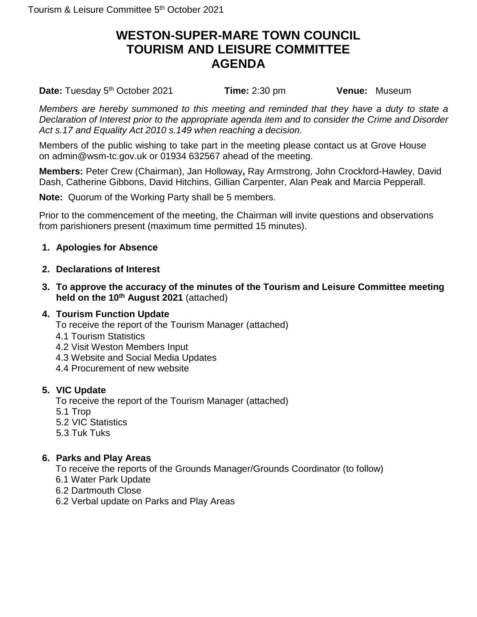# **WESTON-SUPER-MARE TOWN COUNCIL TOURISM AND LEISURE COMMITTEE AGENDA**

Date: Tuesday 5<sup>th</sup> October 2021 **Time:** 2:30 pm **Venue:** Museum

*Members are hereby summoned to this meeting and reminded that they have a duty to state a Declaration of Interest prior to the appropriate agenda item and to consider the Crime and Disorder Act s.17 and Equality Act 2010 s.149 when reaching a decision.*

Members of the public wishing to take part in the meeting please contact us at Grove House on admin@wsm-tc.gov.uk or 01934 632567 ahead of the meeting.

**Members:** Peter Crew (Chairman), Jan Holloway**,** Ray Armstrong, John Crockford-Hawley, David Dash, Catherine Gibbons, David Hitchins, Gillian Carpenter, Alan Peak and Marcia Pepperall.

**Note:** Quorum of the Working Party shall be 5 members.

Prior to the commencement of the meeting, the Chairman will invite questions and observations from parishioners present (maximum time permitted 15 minutes).

## **1. Apologies for Absence**

### **2. Declarations of Interest**

**3. To approve the accuracy of the minutes of the Tourism and Leisure Committee meeting held on the 10th August 2021** (attached)

#### **4. Tourism Function Update**

To receive the report of the Tourism Manager (attached)

- 4.1 Tourism Statistics
- 4.2 Visit Weston Members Input
- 4.3 Website and Social Media Updates
- 4.4 Procurement of new website

## **5. VIC Update**

To receive the report of the Tourism Manager (attached)

- 5.1 Trop
- 5.2 VIC Statistics
- 5.3 Tuk Tuks

## **6. Parks and Play Areas**

To receive the reports of the Grounds Manager/Grounds Coordinator (to follow)

- 6.1 Water Park Update
- 6.2 Dartmouth Close
- 6.2 Verbal update on Parks and Play Areas